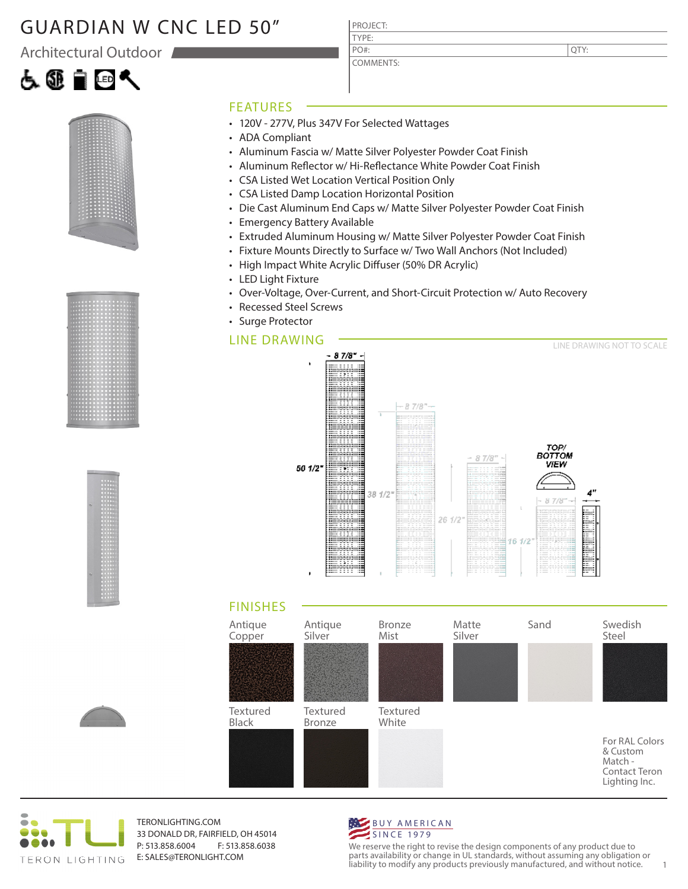### GUARDIAN W CNC LED 50"

Architectural Outdoor







#### FEATURES

- 120V 277V, Plus 347V For Selected Wattages
- ADA Compliant
- Aluminum Fascia w/ Matte Silver Polyester Powder Coat Finish

PROJECT: TYPE:

PO#:

COMMENTS:

- Aluminum Reflector w/ Hi-Reflectance White Powder Coat Finish
- CSA Listed Wet Location Vertical Position Only
- CSA Listed Damp Location Horizontal Position
- Die Cast Aluminum End Caps w/ Matte Silver Polyester Powder Coat Finish
- Emergency Battery Available
- Extruded Aluminum Housing w/ Matte Silver Polyester Powder Coat Finish
- Fixture Mounts Directly to Surface w/ Two Wall Anchors (Not Included)
- High Impact White Acrylic Diffuser (50% DR Acrylic)
- LED Light Fixture
- Over-Voltage, Over-Current, and Short-Circuit Protection w/ Auto Recovery
- Recessed Steel Screws
- Surge Protector

#### LINE DRAWING







TERONLIGHTING.COM 33 DONALD DR, FAIRFIELD, OH 45014 P: 513.858.6004 F: 513.858.6038 E: SALES@TERONLIGHT.COM



We reserve the right to revise the design components of any product due to parts availability or change in UL standards, without assuming any obligation or liability to modify any products previously manufactured, and without notice. 1

QTY: